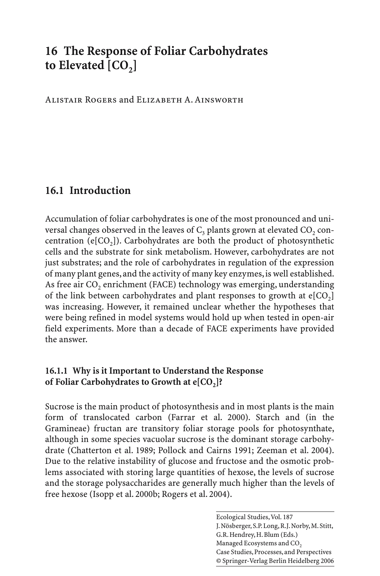# **16 The Response of Foliar Carbohydrates**  to Elevated [CO<sub>2</sub>]

Alistair Rogers and Elizabeth A. Ainsworth

## **16.1 Introduction**

Accumulation of foliar carbohydrates is one of the most pronounced and universal changes observed in the leaves of  $C_3$  plants grown at elevated CO<sub>2</sub> concentration ( $e[CO<sub>2</sub>]$ ). Carbohydrates are both the product of photosynthetic cells and the substrate for sink metabolism. However, carbohydrates are not just substrates; and the role of carbohydrates in regulation of the expression of many plant genes, and the activity of many key enzymes, is well established. As free air  $CO<sub>2</sub>$  enrichment (FACE) technology was emerging, understanding of the link between carbohydrates and plant responses to growth at  $e[CO<sub>2</sub>]$ was increasing. However, it remained unclear whether the hypotheses that were being refined in model systems would hold up when tested in open-air field experiments. More than a decade of FACE experiments have provided the answer.

#### **16.1.1 Why is it Important to Understand the Response**  of Foliar Carbohydrates to Growth at e[CO<sub>2</sub>]?

Sucrose is the main product of photosynthesis and in most plants is the main form of translocated carbon (Farrar et al. 2000). Starch and (in the Gramineae) fructan are transitory foliar storage pools for photosynthate, although in some species vacuolar sucrose is the dominant storage carbohydrate (Chatterton et al. 1989; Pollock and Cairns 1991; Zeeman et al. 2004). Due to the relative instability of glucose and fructose and the osmotic problems associated with storing large quantities of hexose, the levels of sucrose and the storage polysaccharides are generally much higher than the levels of free hexose (Isopp et al. 2000b; Rogers et al. 2004).

> Ecological Studies, Vol. 187 J. Nösberger, S.P. Long, R.J. Norby, M. Stitt, G.R. Hendrey, H. Blum (Eds.) Managed Ecosystems and CO<sub>2</sub> Case Studies, Processes, and Perspectives © Springer-Verlag Berlin Heidelberg 2006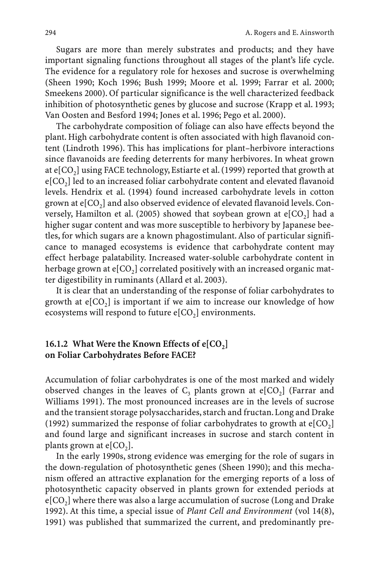Sugars are more than merely substrates and products; and they have important signaling functions throughout all stages of the plant's life cycle. The evidence for a regulatory role for hexoses and sucrose is overwhelming (Sheen 1990; Koch 1996; Bush 1999; Moore et al. 1999; Farrar et al. 2000; Smeekens 2000). Of particular significance is the well characterized feedback inhibition of photosynthetic genes by glucose and sucrose (Krapp et al. 1993; Van Oosten and Besford 1994; Jones et al. 1996; Pego et al. 2000).

The carbohydrate composition of foliage can also have effects beyond the plant. High carbohydrate content is often associated with high flavanoid content (Lindroth 1996). This has implications for plant–herbivore interactions since flavanoids are feeding deterrents for many herbivores. In wheat grown at  $e[CO_2]$  using FACE technology, Estiarte et al. (1999) reported that growth at  $e[CO<sub>2</sub>]$  led to an increased foliar carbohydrate content and elevated flavanoid levels. Hendrix et al. (1994) found increased carbohydrate levels in cotton grown at  $e[CO<sub>2</sub>]$  and also observed evidence of elevated flavanoid levels. Conversely, Hamilton et al. (2005) showed that soybean grown at  $e[CO_2]$  had a higher sugar content and was more susceptible to herbivory by Japanese beetles, for which sugars are a known phagostimulant. Also of particular significance to managed ecosystems is evidence that carbohydrate content may effect herbage palatability. Increased water-soluble carbohydrate content in herbage grown at  $e[CO_2]$  correlated positively with an increased organic matter digestibility in ruminants (Allard et al. 2003).

It is clear that an understanding of the response of foliar carbohydrates to growth at  $e[CO_2]$  is important if we aim to increase our knowledge of how ecosystems will respond to future  $e[CO<sub>2</sub>]$  environments.

#### **16.1.2 What Were the Known Effects of e[CO<sub>2</sub>] on Foliar Carbohydrates Before FACE?**

Accumulation of foliar carbohydrates is one of the most marked and widely observed changes in the leaves of  $C_3$  plants grown at e[CO<sub>2</sub>] (Farrar and Williams 1991). The most pronounced increases are in the levels of sucrose and the transient storage polysaccharides, starch and fructan. Long and Drake (1992) summarized the response of foliar carbohydrates to growth at  $e[CO<sub>2</sub>]$ and found large and significant increases in sucrose and starch content in plants grown at  $e[CO<sub>2</sub>]$ .

In the early 1990s, strong evidence was emerging for the role of sugars in the down-regulation of photosynthetic genes (Sheen 1990); and this mechanism offered an attractive explanation for the emerging reports of a loss of photosynthetic capacity observed in plants grown for extended periods at  $e[CO<sub>2</sub>]$  where there was also a large accumulation of sucrose (Long and Drake 1992). At this time, a special issue of *Plant Cell and Environment* (vol 14(8), 1991) was published that summarized the current, and predominantly pre-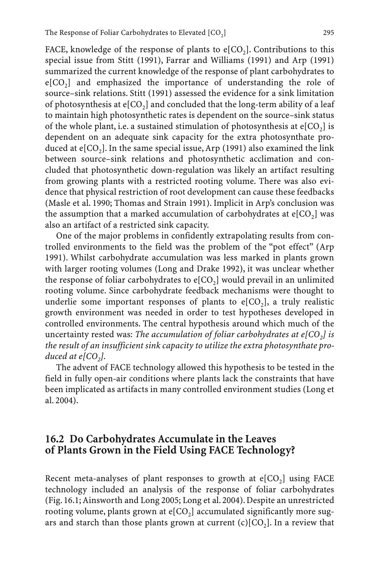FACE, knowledge of the response of plants to  $e[CO<sub>2</sub>]$ . Contributions to this special issue from Stitt (1991), Farrar and Williams (1991) and Arp (1991) summarized the current knowledge of the response of plant carbohydrates to  $e[CO<sub>2</sub>]$  and emphasized the importance of understanding the role of source–sink relations. Stitt (1991) assessed the evidence for a sink limitation of photosynthesis at  $e[CO_2]$  and concluded that the long-term ability of a leaf to maintain high photosynthetic rates is dependent on the source–sink status of the whole plant, i.e. a sustained stimulation of photosynthesis at  $e[CO_2]$  is dependent on an adequate sink capacity for the extra photosynthate produced at  $e[CO_2]$ . In the same special issue, Arp (1991) also examined the link between source–sink relations and photosynthetic acclimation and concluded that photosynthetic down-regulation was likely an artifact resulting from growing plants with a restricted rooting volume. There was also evidence that physical restriction of root development can cause these feedbacks (Masle et al. 1990; Thomas and Strain 1991). Implicit in Arp's conclusion was the assumption that a marked accumulation of carbohydrates at  $e[CO<sub>2</sub>]$  was also an artifact of a restricted sink capacity.

One of the major problems in confidently extrapolating results from controlled environments to the field was the problem of the "pot effect" (Arp 1991). Whilst carbohydrate accumulation was less marked in plants grown with larger rooting volumes (Long and Drake 1992), it was unclear whether the response of foliar carbohydrates to  $e[CO_2]$  would prevail in an unlimited rooting volume. Since carbohydrate feedback mechanisms were thought to underlie some important responses of plants to  $e[CO_2]$ , a truly realistic growth environment was needed in order to test hypotheses developed in controlled environments. The central hypothesis around which much of the uncertainty rested was: *The accumulation of foliar carbohydrates at e[CO<sub>2</sub>] is the result of an insufficient sink capacity to utilize the extra photosynthate produced at*  $e[CO_2]$ *.* 

The advent of FACE technology allowed this hypothesis to be tested in the field in fully open-air conditions where plants lack the constraints that have been implicated as artifacts in many controlled environment studies (Long et al. 2004).

### **16.2 Do Carbohydrates Accumulate in the Leaves of Plants Grown in the Field Using FACE Technology?**

Recent meta-analyses of plant responses to growth at  $e[CO<sub>2</sub>]$  using FACE technology included an analysis of the response of foliar carbohydrates (Fig. 16.1; Ainsworth and Long 2005; Long et al. 2004). Despite an unrestricted rooting volume, plants grown at  $e[CO<sub>2</sub>]$  accumulated significantly more sugars and starch than those plants grown at current  $(c)[CO<sub>2</sub>]$ . In a review that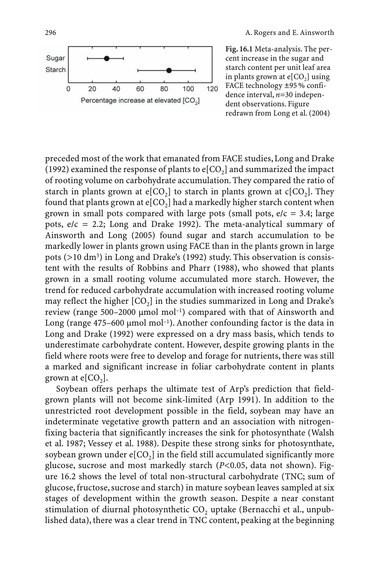Percentage increase at elevated [CO<sub>2</sub>]

**Fig. 16.1** Meta-analysis. The percent increase in the sugar and starch content per unit leaf area in plants grown at  $e[CO_2]$  using FACE technology ±95 % confidence interval, *n*=30 independent observations. Figure redrawn from Long et al. (2004)

preceded most of the work that emanated from FACE studies, Long and Drake (1992) examined the response of plants to  $e[CO_2]$  and summarized the impact of rooting volume on carbohydrate accumulation. They compared the ratio of starch in plants grown at  $e[CO_2]$  to starch in plants grown at  $c[CO_2]$ . They found that plants grown at  $e[CO_2]$  had a markedly higher starch content when grown in small pots compared with large pots (small pots,  $e/c = 3.4$ ; large pots,  $e/c = 2.2$ ; Long and Drake 1992). The meta-analytical summary of Ainsworth and Long (2005) found sugar and starch accumulation to be markedly lower in plants grown using FACE than in the plants grown in large pots (>10 dm3) in Long and Drake's (1992) study. This observation is consistent with the results of Robbins and Pharr (1988), who showed that plants grown in a small rooting volume accumulated more starch. However, the trend for reduced carbohydrate accumulation with increased rooting volume may reflect the higher  $[CO<sub>2</sub>]$  in the studies summarized in Long and Drake's review (range 500–2000  $\mu$ mol mol<sup>-1</sup>) compared with that of Ainsworth and Long (range  $475-600 \mu$ mol mol<sup>-1</sup>). Another confounding factor is the data in Long and Drake (1992) were expressed on a dry mass basis, which tends to underestimate carbohydrate content. However, despite growing plants in the field where roots were free to develop and forage for nutrients, there was still a marked and significant increase in foliar carbohydrate content in plants grown at  $e[CO<sub>2</sub>]$ .

Soybean offers perhaps the ultimate test of Arp's prediction that fieldgrown plants will not become sink-limited (Arp 1991). In addition to the unrestricted root development possible in the field, soybean may have an indeterminate vegetative growth pattern and an association with nitrogenfixing bacteria that significantly increases the sink for photosynthate (Walsh et al. 1987; Vessey et al. 1988). Despite these strong sinks for photosynthate, soybean grown under  $e[CO_2]$  in the field still accumulated significantly more glucose, sucrose and most markedly starch (*P*<0.05, data not shown). Figure 16.2 shows the level of total non-structural carbohydrate (TNC; sum of glucose, fructose, sucrose and starch) in mature soybean leaves sampled at six stages of development within the growth season. Despite a near constant stimulation of diurnal photosynthetic  $CO<sub>2</sub>$  uptake (Bernacchi et al., unpublished data), there was a clear trend in TNC content, peaking at the beginning

Sugar Starch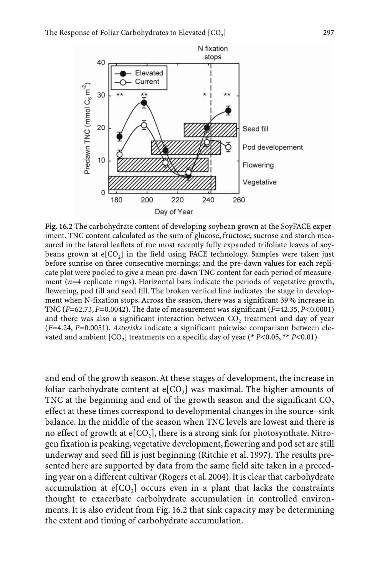

**Fig. 16.2** The carbohydrate content of developing soybean grown at the SoyFACE experiment. TNC content calculated as the sum of glucose, fructose, sucrose and starch measured in the lateral leaflets of the most recently fully expanded trifoliate leaves of soybeans grown at  $e[CO_2]$  in the field using FACE technology. Samples were taken just before sunrise on three consecutive mornings; and the pre-dawn values for each replicate plot were pooled to give a mean pre-dawn TNC content for each period of measurement (*n*=4 replicate rings). Horizontal bars indicate the periods of vegetative growth, flowering, pod fill and seed fill. The broken vertical line indicates the stage in development when N-fixation stops. Across the season, there was a significant 39 % increase in TNC (*F*=62.73, *P*=0.0042). The date of measurement was significant (*F*=42.35, *P*<0.0001) and there was also a significant interaction between  $CO<sub>2</sub>$  treatment and day of year (*F*=4.24, *P*=0.0051). *Asterisks* indicate a significant pairwise comparison between elevated and ambient  $[CO_2]$  treatments on a specific day of year (\*  $P<0.05$ , \*\*  $P<0.01$ )

and end of the growth season. At these stages of development, the increase in foliar carbohydrate content at  $e[CO_2]$  was maximal. The higher amounts of TNC at the beginning and end of the growth season and the significant  $CO<sub>2</sub>$ effect at these times correspond to developmental changes in the source–sink balance. In the middle of the season when TNC levels are lowest and there is no effect of growth at  $\epsilon$ [CO<sub>2</sub>], there is a strong sink for photosynthate. Nitrogen fixation is peaking, vegetative development, flowering and pod set are still underway and seed fill is just beginning (Ritchie et al. 1997). The results presented here are supported by data from the same field site taken in a preceding year on a different cultivar (Rogers et al. 2004). It is clear that carbohydrate accumulation at  $e[CO_2]$  occurs even in a plant that lacks the constraints thought to exacerbate carbohydrate accumulation in controlled environments. It is also evident from Fig. 16.2 that sink capacity may be determining the extent and timing of carbohydrate accumulation.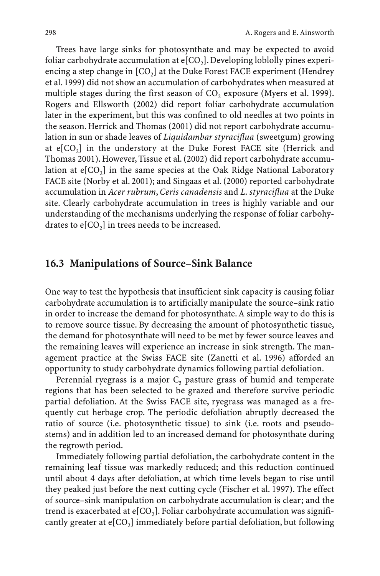Trees have large sinks for photosynthate and may be expected to avoid foliar carbohydrate accumulation at  $e[CO<sub>2</sub>]$ . Developing loblolly pines experiencing a step change in  $[CO_2]$  at the Duke Forest FACE experiment (Hendrey et al. 1999) did not show an accumulation of carbohydrates when measured at multiple stages during the first season of  $CO<sub>2</sub>$  exposure (Myers et al. 1999). Rogers and Ellsworth (2002) did report foliar carbohydrate accumulation later in the experiment, but this was confined to old needles at two points in the season. Herrick and Thomas (2001) did not report carbohydrate accumulation in sun or shade leaves of *Liquidambar styraciflua* (sweetgum) growing at  $e[CO<sub>2</sub>]$  in the understory at the Duke Forest FACE site (Herrick and Thomas 2001). However, Tissue et al. (2002) did report carbohydrate accumulation at  $e[CO_2]$  in the same species at the Oak Ridge National Laboratory FACE site (Norby et al. 2001); and Singaas et al. (2000) reported carbohydrate accumulation in *Acer rubrum*, *Ceris canadensis* and *L. styraciflua* at the Duke site. Clearly carbohydrate accumulation in trees is highly variable and our understanding of the mechanisms underlying the response of foliar carbohydrates to  $e[CO_2]$  in trees needs to be increased.

#### **16.3 Manipulations of Source–Sink Balance**

One way to test the hypothesis that insufficient sink capacity is causing foliar carbohydrate accumulation is to artificially manipulate the source–sink ratio in order to increase the demand for photosynthate. A simple way to do this is to remove source tissue. By decreasing the amount of photosynthetic tissue, the demand for photosynthate will need to be met by fewer source leaves and the remaining leaves will experience an increase in sink strength. The management practice at the Swiss FACE site (Zanetti et al. 1996) afforded an opportunity to study carbohydrate dynamics following partial defoliation.

Perennial ryegrass is a major  $C_3$  pasture grass of humid and temperate regions that has been selected to be grazed and therefore survive periodic partial defoliation. At the Swiss FACE site, ryegrass was managed as a frequently cut herbage crop. The periodic defoliation abruptly decreased the ratio of source (i.e. photosynthetic tissue) to sink (i.e. roots and pseudostems) and in addition led to an increased demand for photosynthate during the regrowth period.

Immediately following partial defoliation, the carbohydrate content in the remaining leaf tissue was markedly reduced; and this reduction continued until about 4 days after defoliation, at which time levels began to rise until they peaked just before the next cutting cycle (Fischer et al. 1997). The effect of source–sink manipulation on carbohydrate accumulation is clear; and the trend is exacerbated at  $e[CO_2]$ . Foliar carbohydrate accumulation was significantly greater at  $e[CO_2]$  immediately before partial defoliation, but following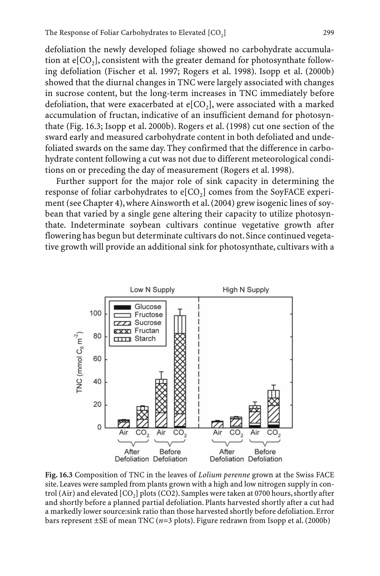defoliation the newly developed foliage showed no carbohydrate accumulation at  $e[CO_2]$ , consistent with the greater demand for photosynthate following defoliation (Fischer et al. 1997; Rogers et al. 1998). Isopp et al. (2000b) showed that the diurnal changes in TNC were largely associated with changes in sucrose content, but the long-term increases in TNC immediately before defoliation, that were exacerbated at  $e[CO_2]$ , were associated with a marked accumulation of fructan, indicative of an insufficient demand for photosynthate (Fig. 16.3; Isopp et al. 2000b). Rogers et al. (1998) cut one section of the sward early and measured carbohydrate content in both defoliated and undefoliated swards on the same day. They confirmed that the difference in carbohydrate content following a cut was not due to different meteorological conditions on or preceding the day of measurement (Rogers et al. 1998).

Further support for the major role of sink capacity in determining the response of foliar carbohydrates to  $e[CO_2]$  comes from the SoyFACE experiment (see Chapter 4), where Ainsworth et al. (2004) grew isogenic lines of soybean that varied by a single gene altering their capacity to utilize photosynthate. Indeterminate soybean cultivars continue vegetative growth after flowering has begun but determinate cultivars do not. Since continued vegetative growth will provide an additional sink for photosynthate, cultivars with a



**Fig. 16.3** Composition of TNC in the leaves of *Lolium perenne* grown at the Swiss FACE site. Leaves were sampled from plants grown with a high and low nitrogen supply in control (Air) and elevated  $[CO<sub>2</sub>]$  plots (CO2). Samples were taken at 0700 hours, shortly after and shortly before a planned partial defoliation. Plants harvested shortly after a cut had a markedly lower source:sink ratio than those harvested shortly before defoliation. Error bars represent ±SE of mean TNC (*n*=3 plots). Figure redrawn from Isopp et al. (2000b)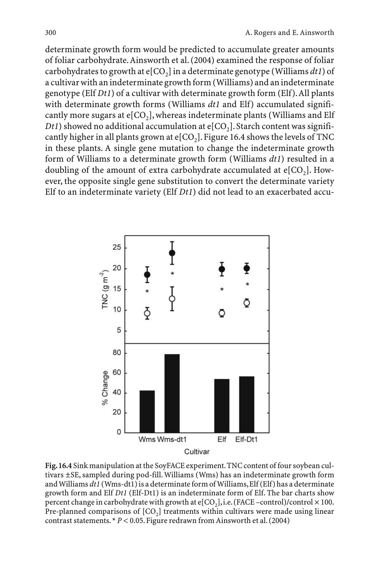determinate growth form would be predicted to accumulate greater amounts of foliar carbohydrate.Ainsworth et al. (2004) examined the response of foliar carbohydrates to growth at  $e[CO_2]$  in a determinate genotype (Williams  $dt1$ ) of a cultivar with an indeterminate growth form (Williams) and an indeterminate genotype (Elf *Dt1*) of a cultivar with determinate growth form (Elf).All plants with determinate growth forms (Williams *dt1* and Elf) accumulated significantly more sugars at  $e[CO_2]$ , whereas indeterminate plants (Williams and Elf *Dt1*) showed no additional accumulation at  $e[CO_2]$ . Starch content was significantly higher in all plants grown at  $e[CO_2]$ . Figure 16.4 shows the levels of TNC in these plants. A single gene mutation to change the indeterminate growth form of Williams to a determinate growth form (Williams *dt1*) resulted in a doubling of the amount of extra carbohydrate accumulated at  $e[CO<sub>2</sub>]$ . However, the opposite single gene substitution to convert the determinate variety Elf to an indeterminate variety (Elf *Dt1*) did not lead to an exacerbated accu-



**Fig.16.4** Sink manipulation at the SoyFACE experiment.TNC content of four soybean cultivars ±SE, sampled during pod-fill. Williams (Wms) has an indeterminate growth form and Williams *dt1* (Wms-dt1) is a determinate form of Williams,Elf (Elf) has a determinate growth form and Elf *Dt1* (Elf-Dt1) is an indeterminate form of Elf. The bar charts show percent change in carbohydrate with growth at  $\epsilon$ [CO<sub>2</sub>], i.e. (FACE –control)/control × 100. Pre-planned comparisons of  $[CO<sub>2</sub>]$  treatments within cultivars were made using linear contrast statements. \* *P* < 0.05. Figure redrawn from Ainsworth et al. (2004)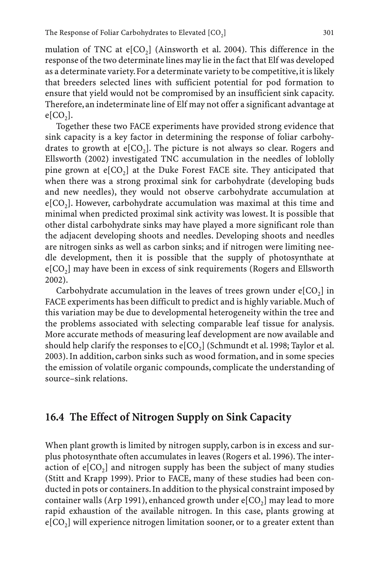mulation of TNC at  $e[CO_2]$  (Ainsworth et al. 2004). This difference in the response of the two determinate lines may lie in the fact that Elf was developed as a determinate variety. For a determinate variety to be competitive, it is likely that breeders selected lines with sufficient potential for pod formation to ensure that yield would not be compromised by an insufficient sink capacity. Therefore, an indeterminate line of Elf may not offer a significant advantage at  $e[CO<sub>2</sub>]$ .

Together these two FACE experiments have provided strong evidence that sink capacity is a key factor in determining the response of foliar carbohydrates to growth at  $e[CO_2]$ . The picture is not always so clear. Rogers and Ellsworth (2002) investigated TNC accumulation in the needles of loblolly pine grown at  $e[CO_2]$  at the Duke Forest FACE site. They anticipated that when there was a strong proximal sink for carbohydrate (developing buds and new needles), they would not observe carbohydrate accumulation at  $e[CO<sub>2</sub>]$ . However, carbohydrate accumulation was maximal at this time and minimal when predicted proximal sink activity was lowest. It is possible that other distal carbohydrate sinks may have played a more significant role than the adjacent developing shoots and needles. Developing shoots and needles are nitrogen sinks as well as carbon sinks; and if nitrogen were limiting needle development, then it is possible that the supply of photosynthate at  $e[CO<sub>2</sub>]$  may have been in excess of sink requirements (Rogers and Ellsworth 2002).

Carbohydrate accumulation in the leaves of trees grown under  $e[CO_2]$  in FACE experiments has been difficult to predict and is highly variable. Much of this variation may be due to developmental heterogeneity within the tree and the problems associated with selecting comparable leaf tissue for analysis. More accurate methods of measuring leaf development are now available and should help clarify the responses to  $e[CO_2]$  (Schmundt et al. 1998; Taylor et al. 2003). In addition, carbon sinks such as wood formation, and in some species the emission of volatile organic compounds, complicate the understanding of source–sink relations.

## **16.4 The Effect of Nitrogen Supply on Sink Capacity**

When plant growth is limited by nitrogen supply, carbon is in excess and surplus photosynthate often accumulates in leaves (Rogers et al. 1996). The interaction of  $e[CO<sub>2</sub>]$  and nitrogen supply has been the subject of many studies (Stitt and Krapp 1999). Prior to FACE, many of these studies had been conducted in pots or containers. In addition to the physical constraint imposed by container walls (Arp 1991), enhanced growth under  $e[CO<sub>2</sub>]$  may lead to more rapid exhaustion of the available nitrogen. In this case, plants growing at  $e[CO<sub>2</sub>]$  will experience nitrogen limitation sooner, or to a greater extent than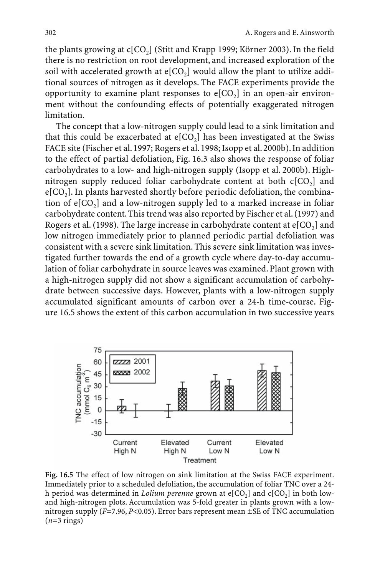the plants growing at  $c[CO_2]$  (Stitt and Krapp 1999; Körner 2003). In the field there is no restriction on root development, and increased exploration of the soil with accelerated growth at  $e[CO_2]$  would allow the plant to utilize additional sources of nitrogen as it develops. The FACE experiments provide the opportunity to examine plant responses to  $e[CO_2]$  in an open-air environment without the confounding effects of potentially exaggerated nitrogen limitation.

The concept that a low-nitrogen supply could lead to a sink limitation and that this could be exacerbated at  $e[CO_2]$  has been investigated at the Swiss FACE site (Fischer et al. 1997; Rogers et al. 1998; Isopp et al. 2000b). In addition to the effect of partial defoliation, Fig. 16.3 also shows the response of foliar carbohydrates to a low- and high-nitrogen supply (Isopp et al. 2000b). Highnitrogen supply reduced foliar carbohydrate content at both  $c[CO<sub>2</sub>]$  and  $e[CO<sub>2</sub>]$ . In plants harvested shortly before periodic defoliation, the combination of  $e[CO<sub>2</sub>]$  and a low-nitrogen supply led to a marked increase in foliar carbohydrate content. This trend was also reported by Fischer et al. (1997) and Rogers et al. (1998). The large increase in carbohydrate content at  $e[CO<sub>2</sub>]$  and low nitrogen immediately prior to planned periodic partial defoliation was consistent with a severe sink limitation. This severe sink limitation was investigated further towards the end of a growth cycle where day-to-day accumulation of foliar carbohydrate in source leaves was examined. Plant grown with a high-nitrogen supply did not show a significant accumulation of carbohydrate between successive days. However, plants with a low-nitrogen supply accumulated significant amounts of carbon over a 24-h time-course. Figure 16.5 shows the extent of this carbon accumulation in two successive years



**Fig. 16.5** The effect of low nitrogen on sink limitation at the Swiss FACE experiment. Immediately prior to a scheduled defoliation, the accumulation of foliar TNC over a 24 h period was determined in *Lolium perenne* grown at e[CO<sub>2</sub>] and c[CO<sub>2</sub>] in both lowand high-nitrogen plots. Accumulation was 5-fold greater in plants grown with a lownitrogen supply (*F*=7.96, *P*<0.05). Error bars represent mean ±SE of TNC accumulation (*n*=3 rings)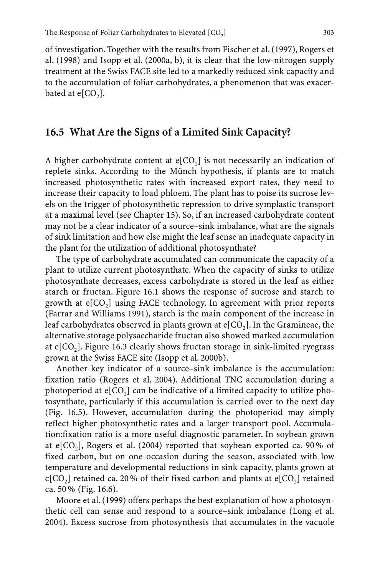of investigation. Together with the results from Fischer et al. (1997), Rogers et al. (1998) and Isopp et al. (2000a, b), it is clear that the low-nitrogen supply treatment at the Swiss FACE site led to a markedly reduced sink capacity and to the accumulation of foliar carbohydrates, a phenomenon that was exacerbated at  $e[CO<sub>2</sub>]$ .

#### **16.5 What Are the Signs of a Limited Sink Capacity?**

A higher carbohydrate content at  $e[CO_2]$  is not necessarily an indication of replete sinks. According to the Münch hypothesis, if plants are to match increased photosynthetic rates with increased export rates, they need to increase their capacity to load phloem. The plant has to poise its sucrose levels on the trigger of photosynthetic repression to drive symplastic transport at a maximal level (see Chapter 15). So, if an increased carbohydrate content may not be a clear indicator of a source–sink imbalance, what are the signals of sink limitation and how else might the leaf sense an inadequate capacity in the plant for the utilization of additional photosynthate?

The type of carbohydrate accumulated can communicate the capacity of a plant to utilize current photosynthate. When the capacity of sinks to utilize photosynthate decreases, excess carbohydrate is stored in the leaf as either starch or fructan. Figure 16.1 shows the response of sucrose and starch to growth at  $e[CO_2]$  using FACE technology. In agreement with prior reports (Farrar and Williams 1991), starch is the main component of the increase in leaf carbohydrates observed in plants grown at  $e[CO<sub>2</sub>]$ . In the Gramineae, the alternative storage polysaccharide fructan also showed marked accumulation at  $e[CO<sub>2</sub>]$ . Figure 16.3 clearly shows fructan storage in sink-limited ryegrass grown at the Swiss FACE site (Isopp et al. 2000b).

Another key indicator of a source–sink imbalance is the accumulation: fixation ratio (Rogers et al. 2004). Additional TNC accumulation during a photoperiod at  $e[CO_2]$  can be indicative of a limited capacity to utilize photosynthate, particularly if this accumulation is carried over to the next day (Fig. 16.5). However, accumulation during the photoperiod may simply reflect higher photosynthetic rates and a larger transport pool. Accumulation:fixation ratio is a more useful diagnostic parameter. In soybean grown at e[CO<sub>2</sub>], Rogers et al. (2004) reported that soybean exported ca. 90% of fixed carbon, but on one occasion during the season, associated with low temperature and developmental reductions in sink capacity, plants grown at  $c[CO<sub>2</sub>]$  retained ca. 20% of their fixed carbon and plants at  $e[CO<sub>2</sub>]$  retained ca. 50 % (Fig. 16.6).

Moore et al. (1999) offers perhaps the best explanation of how a photosynthetic cell can sense and respond to a source–sink imbalance (Long et al. 2004). Excess sucrose from photosynthesis that accumulates in the vacuole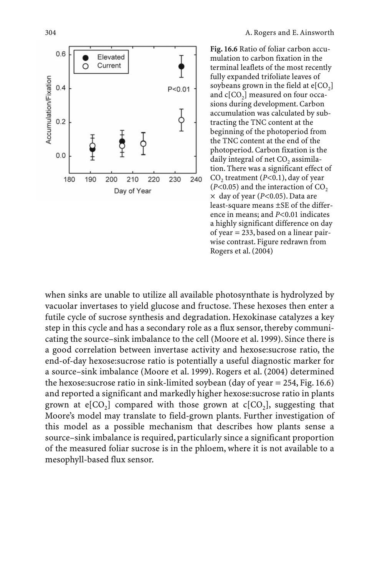

**Fig. 16.6** Ratio of foliar carbon accumulation to carbon fixation in the terminal leaflets of the most recently fully expanded trifoliate leaves of soybeans grown in the field at  $e[CO<sub>2</sub>]$ and  $c[CO<sub>2</sub>]$  measured on four occasions during development. Carbon accumulation was calculated by subtracting the TNC content at the beginning of the photoperiod from the TNC content at the end of the photoperiod. Carbon fixation is the daily integral of net  $CO<sub>2</sub>$  assimilation. There was a significant effect of CO<sub>2</sub> treatment (*P*<0.1), day of year  $(P<0.05)$  and the interaction of CO<sub>2</sub> ¥ day of year (*P*<0.05). Data are least-square means ±SE of the difference in means; and *P*<0.01 indicates a highly significant difference on day of year = 233, based on a linear pairwise contrast. Figure redrawn from Rogers et al. (2004)

when sinks are unable to utilize all available photosynthate is hydrolyzed by vacuolar invertases to yield glucose and fructose. These hexoses then enter a futile cycle of sucrose synthesis and degradation. Hexokinase catalyzes a key step in this cycle and has a secondary role as a flux sensor, thereby communicating the source–sink imbalance to the cell (Moore et al. 1999). Since there is a good correlation between invertase activity and hexose:sucrose ratio, the end-of-day hexose:sucrose ratio is potentially a useful diagnostic marker for a source–sink imbalance (Moore et al. 1999). Rogers et al. (2004) determined the hexose: sucrose ratio in sink-limited soybean (day of year  $= 254$ , Fig. 16.6) and reported a significant and markedly higher hexose:sucrose ratio in plants grown at  $e[CO_2]$  compared with those grown at  $c[CO_2]$ , suggesting that Moore's model may translate to field-grown plants. Further investigation of this model as a possible mechanism that describes how plants sense a source–sink imbalance is required, particularly since a significant proportion of the measured foliar sucrose is in the phloem, where it is not available to a mesophyll-based flux sensor.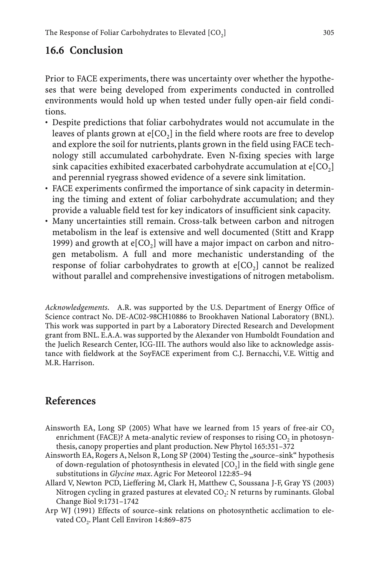# **16.6 Conclusion**

Prior to FACE experiments, there was uncertainty over whether the hypotheses that were being developed from experiments conducted in controlled environments would hold up when tested under fully open-air field conditions.

- Despite predictions that foliar carbohydrates would not accumulate in the leaves of plants grown at  $e[CO_2]$  in the field where roots are free to develop and explore the soil for nutrients, plants grown in the field using FACE technology still accumulated carbohydrate. Even N-fixing species with large sink capacities exhibited exacerbated carbohydrate accumulation at  $e[CO_2]$ and perennial ryegrass showed evidence of a severe sink limitation.
- FACE experiments confirmed the importance of sink capacity in determining the timing and extent of foliar carbohydrate accumulation; and they provide a valuable field test for key indicators of insufficient sink capacity.
- Many uncertainties still remain. Cross-talk between carbon and nitrogen metabolism in the leaf is extensive and well documented (Stitt and Krapp 1999) and growth at  $e[CO_2]$  will have a major impact on carbon and nitrogen metabolism. A full and more mechanistic understanding of the response of foliar carbohydrates to growth at  $e[CO_2]$  cannot be realized without parallel and comprehensive investigations of nitrogen metabolism.

*Acknowledgements*. A.R. was supported by the U.S. Department of Energy Office of Science contract No. DE-AC02-98CH10886 to Brookhaven National Laboratory (BNL). This work was supported in part by a Laboratory Directed Research and Development grant from BNL. E.A.A. was supported by the Alexander von Humboldt Foundation and the Juelich Research Center, ICG-III. The authors would also like to acknowledge assistance with fieldwork at the SoyFACE experiment from C.J. Bernacchi, V.E. Wittig and M.R. Harrison.

# **References**

- Ainsworth EA, Long SP (2005) What have we learned from 15 years of free-air  $CO<sub>2</sub>$ enrichment (FACE)? A meta-analytic review of responses to rising  $CO<sub>2</sub>$  in photosynthesis, canopy properties and plant production. New Phytol 165:351–372
- Ainsworth EA, Rogers A, Nelson R, Long SP (2004) Testing the "source–sink" hypothesis of down-regulation of photosynthesis in elevated  $[CO<sub>2</sub>]$  in the field with single gene substitutions in *Glycine max*. Agric For Meteorol 122:85–94
- Allard V, Newton PCD, Lieffering M, Clark H, Matthew C, Soussana J-F, Gray YS (2003) Nitrogen cycling in grazed pastures at elevated CO<sub>2</sub>: N returns by ruminants. Global Change Biol 9:1731–1742
- Arp WJ (1991) Effects of source–sink relations on photosynthetic acclimation to elevated CO<sub>2</sub>. Plant Cell Environ 14:869-875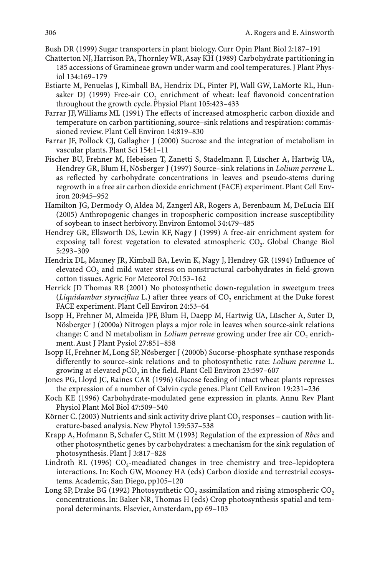Bush DR (1999) Sugar transporters in plant biology. Curr Opin Plant Biol 2:187–191

- Chatterton NJ, Harrison PA, Thornley WR,Asay KH (1989) Carbohydrate partitioning in 185 accessions of Gramineae grown under warm and cool temperatures. J Plant Physiol 134:169–179
- Estiarte M, Penuelas J, Kimball BA, Hendrix DL, Pinter PJ, Wall GW, LaMorte RL, Hunsaker DJ (1999) Free-air CO<sub>2</sub> enrichment of wheat: leaf flavonoid concentration throughout the growth cycle. Physiol Plant 105:423–433
- Farrar JF, Williams ML (1991) The effects of increased atmospheric carbon dioxide and temperature on carbon partitioning, source–sink relations and respiration: commissioned review. Plant Cell Environ 14:819–830
- Farrar JF, Pollock CJ, Gallagher J (2000) Sucrose and the integration of metabolism in vascular plants. Plant Sci 154:1–11
- Fischer BU, Frehner M, Hebeisen T, Zanetti S, Stadelmann F, Lüscher A, Hartwig UA, Hendrey GR, Blum H, Nösberger J (1997) Source–sink relations in *Lolium perrene* L. as reflected by carbohydrate concentrations in leaves and pseudo-stems during regrowth in a free air carbon dioxide enrichment (FACE) experiment. Plant Cell Environ 20:945–952
- Hamilton JG, Dermody O, Aldea M, Zangerl AR, Rogers A, Berenbaum M, DeLucia EH (2005) Anthropogenic changes in tropospheric composition increase susceptibility of soybean to insect herbivory. Environ Entomol 34:479–485
- Hendrey GR, Ellsworth DS, Lewin KF, Nagy J (1999) A free-air enrichment system for exposing tall forest vegetation to elevated atmospheric CO<sub>2</sub>. Global Change Biol 5:293–309
- Hendrix DL, Mauney JR, Kimball BA, Lewin K, Nagy J, Hendrey GR (1994) Influence of elevated CO<sub>2</sub> and mild water stress on nonstructural carbohydrates in field-grown cotton tissues. Agric For Meteorol 70:153–162
- Herrick JD Thomas RB (2001) No photosynthetic down-regulation in sweetgum trees (*Liquidambar styraciflua* L.) after three years of CO<sub>2</sub> enrichment at the Duke forest FACE experiment. Plant Cell Environ 24:53–64
- Isopp H, Frehner M, Almeida JPF, Blum H, Daepp M, Hartwig UA, Lüscher A, Suter D, Nösberger J (2000a) Nitrogen plays a mjor role in leaves when source-sink relations change: C and N metabolism in *Lolium perrene* growing under free air CO<sub>2</sub> enrichment. Aust J Plant Pysiol 27:851–858
- Isopp H, Frehner M, Long SP, Nösberger J (2000b) Sucorse-phosphate synthase responds differently to source–sink relations and to photosynthetic rate: *Lolium perenne* L. growing at elevated  $pCO<sub>2</sub>$  in the field. Plant Cell Environ 23:597-607
- Jones PG, Lloyd JC, Raines CAR (1996) Glucose feeding of intact wheat plants represses the expression of a number of Calvin cycle genes. Plant Cell Environ 19:231–236
- Koch KE (1996) Carbohydrate-modulated gene expression in plants. Annu Rev Plant Physiol Plant Mol Biol 47:509–540
- Körner C. (2003) Nutrients and sink activity drive plant  $CO<sub>2</sub>$  responses caution with literature-based analysis. New Phytol 159:537–538
- Krapp A, Hofmann B, Schafer C, Stitt M (1993) Regulation of the expression of *Rbcs* and other photosynthetic genes by carbohydrates: a mechanism for the sink regulation of photosynthesis. Plant J 3:817–828
- Lindroth RL (1996)  $CO_2$ -meadiated changes in tree chemistry and tree-lepidoptera interactions. In: Koch GW, Mooney HA (eds) Carbon dioxide and terrestrial ecosystems. Academic, San Diego, pp105–120
- Long SP, Drake BG (1992) Photosynthetic  $CO_2$  assimilation and rising atmospheric  $CO_2$ concentrations. In: Baker NR, Thomas H (eds) Crop photosynthesis spatial and temporal determinants. Elsevier, Amsterdam, pp 69–103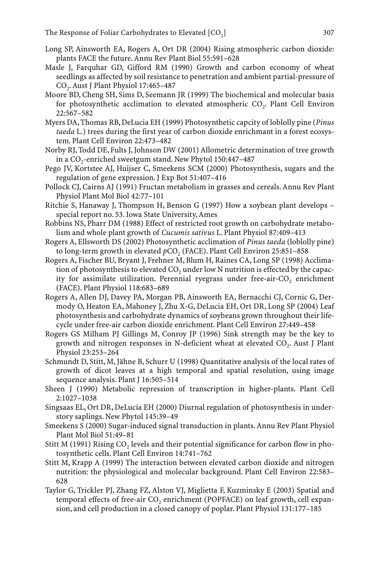- Long SP, Ainsworth EA, Rogers A, Ort DR (2004) Rising atmospheric carbon dioxide: plants FACE the future. Annu Rev Plant Biol 55:591–628
- Masle J, Farquhar GD, Gifford RM (1990) Growth and carbon economy of wheat seedlings as affected by soil resistance to penetration and ambient partial-pressure of CO2. Aust J Plant Physiol 17:465–487
- Moore BD, Cheng SH, Sims D, Seemann JR (1999) The biochemical and molecular basis for photosynthetic acclimation to elevated atmospheric  $CO<sub>2</sub>$ . Plant Cell Environ 22:567–582
- Myers DA, Thomas RB, DeLucia EH (1999) Photosynthetic capcity of loblolly pine (*Pinus taeda* L.) trees during the first year of carbon dioxide enrichmant in a forest ecosystem. Plant Cell Environ 22:473–482
- Norby RJ, Todd DE, Fults J, Johnson DW (2001) Allometric determination of tree growth in a  $CO_2$ -enriched sweetgum stand. New Phytol 150:447-487
- Pego JV, Kortstee AJ, Huijser C, Smeekens SCM (2000) Photosynthesis, sugars and the regulation of gene expression. J Exp Bot 51:407–416
- Pollock CJ, Cairns AJ (1991) Fructan metabolism in grasses and cereals. Annu Rev Plant Physiol Plant Mol Biol 42:77–101
- Ritchie S, Hanaway J, Thompson H, Benson G (1997) How a soybean plant develops special report no. 53. Iowa State University, Ames
- Robbins NS, Pharr DM (1988) Effect of restricted root growth on carbohydrate metabolism and whole plant growth of *Cucumis sativus* L. Plant Physiol 87:409–413
- Rogers A, Ellsworth DS (2002) Photosynthetic acclimation of *Pinus taeda* (loblolly pine) to long-term growth in elevated  $pCO<sub>2</sub>$  (FACE). Plant Cell Environ 25:851-858
- Rogers A, Fischer BU, Bryant J, Frehner M, Blum H, Raines CA, Long SP (1998) Acclimation of photosynthesis to elevated  $CO<sub>2</sub>$  under low N nutrition is effected by the capacity for assimilate utilization. Perennial ryegrass under free-air- $CO<sub>2</sub>$  enrichment (FACE). Plant Physiol 118:683–689
- Rogers A, Allen DJ, Davey PA, Morgan PB, Ainsworth EA, Bernacchi CJ, Cornic G, Dermody O, Heaton EA, Mahoney J, Zhu X-G, DeLucia EH, Ort DR, Long SP (2004) Leaf photosynthesis and carbohydrate dynamics of soybeans grown throughout their lifecycle under free-air carbon dioxide enrichment. Plant Cell Environ 27:449–458
- Rogers GS Milham PJ Gillings M, Conroy JP (1996) Sink strength may be the key to growth and nitrogen responses in N-deficient wheat at elevated CO<sub>2</sub>. Aust J Plant Physiol 23:253–264
- Schmundt D, Stitt, M, Jähne B, Schurr U (1998) Quantitative analysis of the local rates of growth of dicot leaves at a high temporal and spatial resolution, using image sequence analysis. Plant J 16:505-514
- Sheen J (1990) Metabolic repression of transcription in higher-plants. Plant Cell 2:1027–1038
- Singsaas EL, Ort DR, DeLucia EH (2000) Diurnal regulation of photosynthesis in understory saplings. New Phytol 145:39–49
- Smeekens S (2000) Sugar-induced signal transduction in plants. Annu Rev Plant Physiol Plant Mol Biol 51:49–81
- Stitt M  $(1991)$  Rising CO<sub>2</sub> levels and their potential significance for carbon flow in photosynthetic cells. Plant Cell Environ 14:741–762
- Stitt M, Krapp A (1999) The interaction between elevated carbon dioxide and nitrogen nutrition: the physiological and molecular background. Plant Cell Environ 22:583– 628
- Taylor G, Trickler PJ, Zhang FZ, Alston VJ, Miglietta F, Kuzminsky E (2003) Spatial and temporal effects of free-air CO<sub>2</sub> enrichment (POPFACE) on leaf growth, cell expansion, and cell production in a closed canopy of poplar. Plant Physiol 131:177–185